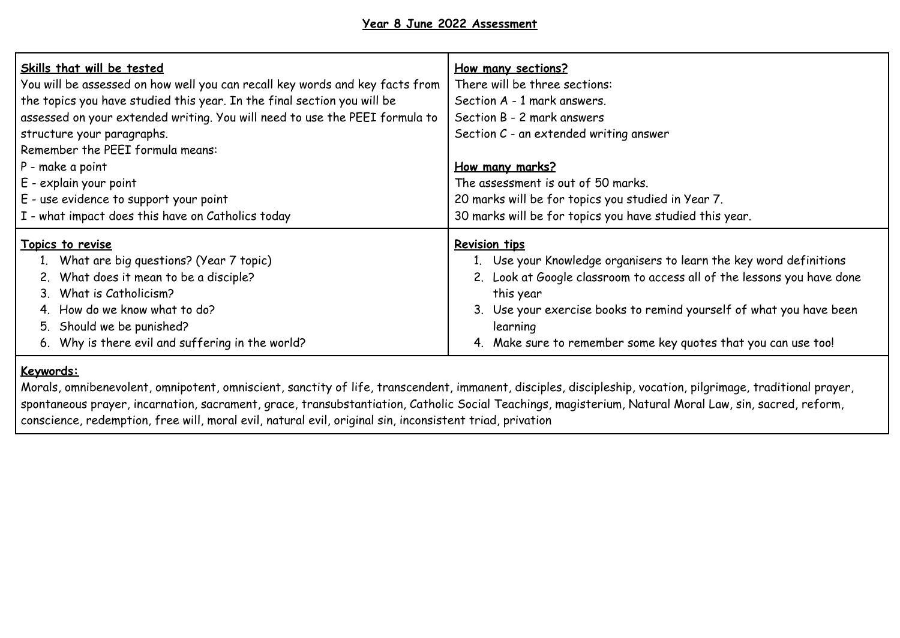## **Year 8 June 2022 Assessment**

| Skills that will be tested<br>You will be assessed on how well you can recall key words and key facts from<br>the topics you have studied this year. In the final section you will be<br>assessed on your extended writing. You will need to use the PEEI formula to | How many sections?<br>There will be three sections:<br>Section A - 1 mark answers.<br>Section B - 2 mark answers |
|----------------------------------------------------------------------------------------------------------------------------------------------------------------------------------------------------------------------------------------------------------------------|------------------------------------------------------------------------------------------------------------------|
| structure your paragraphs.<br>Remember the PEEI formula means:                                                                                                                                                                                                       | Section C - an extended writing answer                                                                           |
| P - make a point                                                                                                                                                                                                                                                     | How many marks?                                                                                                  |
| $E$ - explain your point                                                                                                                                                                                                                                             | The assessment is out of 50 marks.                                                                               |
| E - use evidence to support your point                                                                                                                                                                                                                               | 20 marks will be for topics you studied in Year 7.                                                               |
| I - what impact does this have on Catholics today                                                                                                                                                                                                                    | 30 marks will be for topics you have studied this year.                                                          |
| Topics to revise                                                                                                                                                                                                                                                     | <b>Revision tips</b>                                                                                             |
| What are big questions? (Year 7 topic)                                                                                                                                                                                                                               | 1. Use your Knowledge organisers to learn the key word definitions                                               |
| What does it mean to be a disciple?                                                                                                                                                                                                                                  | 2. Look at Google classroom to access all of the lessons you have done                                           |
| What is Catholicism?                                                                                                                                                                                                                                                 | this year                                                                                                        |
| How do we know what to do?                                                                                                                                                                                                                                           | 3. Use your exercise books to remind yourself of what you have been                                              |
| 5. Should we be punished?                                                                                                                                                                                                                                            | learning                                                                                                         |
| 6. Why is there evil and suffering in the world?                                                                                                                                                                                                                     | 4. Make sure to remember some key quotes that you can use too!                                                   |

### **Keywords:**

Morals, omnibenevolent, omnipotent, omniscient, sanctity of life, transcendent, immanent, disciples, discipleship, vocation, pilgrimage, traditional prayer, spontaneous prayer, incarnation, sacrament, grace, transubstantiation, Catholic Social Teachings, magisterium, Natural Moral Law, sin, sacred, reform, conscience, redemption, free will, moral evil, natural evil, original sin, inconsistent triad, privation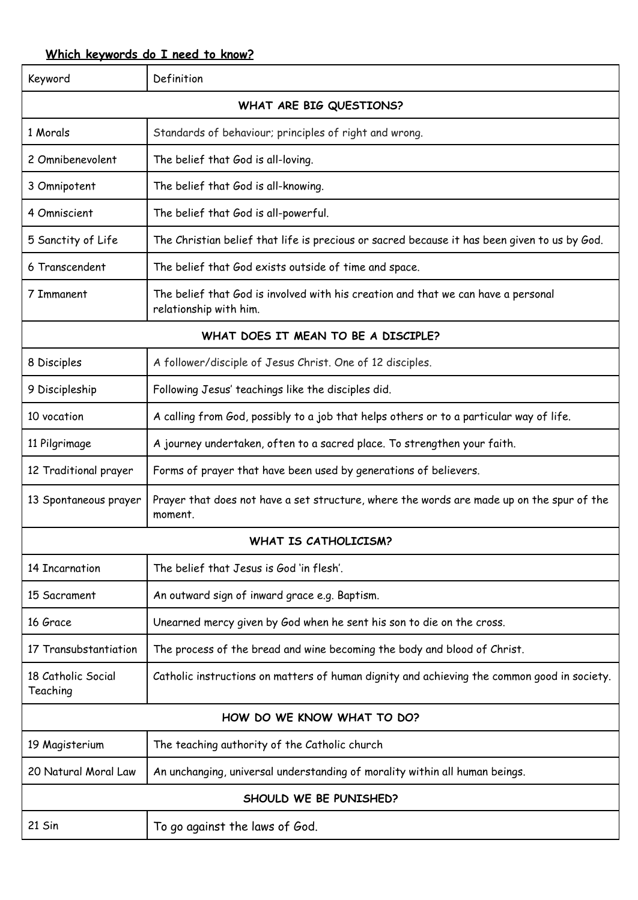# **Which keywords do I need to know?**

| Keyword                             | Definition                                                                                                  |  |
|-------------------------------------|-------------------------------------------------------------------------------------------------------------|--|
| WHAT ARE BIG QUESTIONS?             |                                                                                                             |  |
| 1 Morals                            | Standards of behaviour; principles of right and wrong.                                                      |  |
| 2 Omnibenevolent                    | The belief that God is all-loving.                                                                          |  |
| 3 Omnipotent                        | The belief that God is all-knowing.                                                                         |  |
| 4 Omniscient                        | The belief that God is all-powerful.                                                                        |  |
| 5 Sanctity of Life                  | The Christian belief that life is precious or sacred because it has been given to us by God.                |  |
| 6 Transcendent                      | The belief that God exists outside of time and space.                                                       |  |
| 7 Immanent                          | The belief that God is involved with his creation and that we can have a personal<br>relationship with him. |  |
| WHAT DOES IT MEAN TO BE A DISCIPLE? |                                                                                                             |  |
| 8 Disciples                         | A follower/disciple of Jesus Christ. One of 12 disciples.                                                   |  |
| 9 Discipleship                      | Following Jesus' teachings like the disciples did.                                                          |  |
| 10 vocation                         | A calling from God, possibly to a job that helps others or to a particular way of life.                     |  |
| 11 Pilgrimage                       | A journey undertaken, often to a sacred place. To strengthen your faith.                                    |  |
| 12 Traditional prayer               | Forms of prayer that have been used by generations of believers.                                            |  |
| 13 Spontaneous prayer               | Prayer that does not have a set structure, where the words are made up on the spur of the<br>moment.        |  |
|                                     | WHAT IS CATHOLICISM?                                                                                        |  |
| 14 Incarnation                      | The belief that Jesus is God 'in flesh'.                                                                    |  |
| 15 Sacrament                        | An outward sign of inward grace e.g. Baptism.                                                               |  |
| 16 Grace                            | Unearned mercy given by God when he sent his son to die on the cross.                                       |  |
| 17 Transubstantiation               | The process of the bread and wine becoming the body and blood of Christ.                                    |  |
| 18 Catholic Social<br>Teaching      | Catholic instructions on matters of human dignity and achieving the common good in society.                 |  |
| HOW DO WE KNOW WHAT TO DO?          |                                                                                                             |  |
| 19 Magisterium                      | The teaching authority of the Catholic church                                                               |  |
| 20 Natural Moral Law                | An unchanging, universal understanding of morality within all human beings.                                 |  |
| SHOULD WE BE PUNISHED?              |                                                                                                             |  |
| 21 Sin                              | To go against the laws of God.                                                                              |  |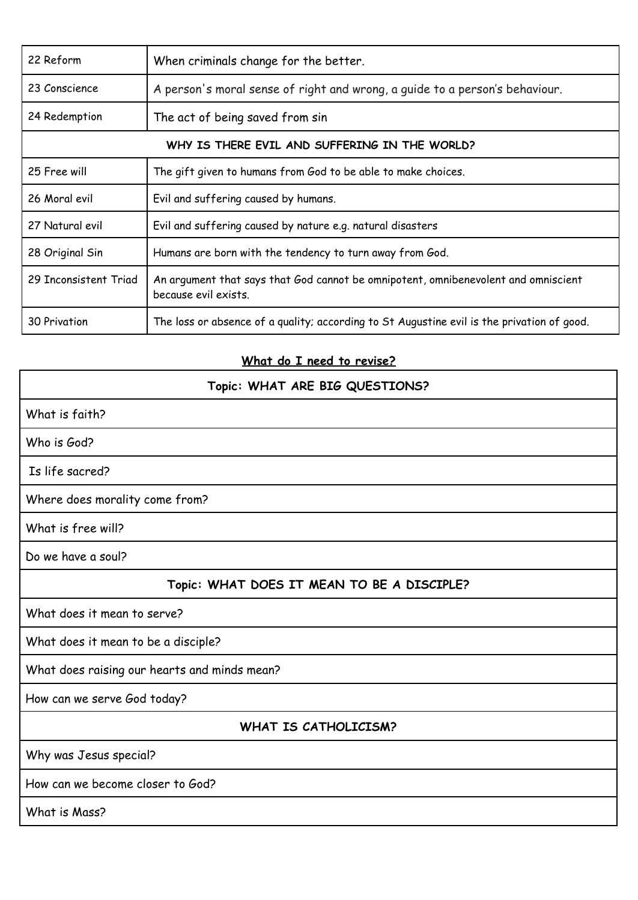| 22 Reform                                     | When criminals change for the better.                                                                      |  |
|-----------------------------------------------|------------------------------------------------------------------------------------------------------------|--|
| 23 Conscience                                 | A person's moral sense of right and wrong, a guide to a person's behaviour.                                |  |
| 24 Redemption                                 | The act of being saved from sin                                                                            |  |
| WHY IS THERE EVIL AND SUFFERING IN THE WORLD? |                                                                                                            |  |
| 25 Free will                                  | The gift given to humans from God to be able to make choices.                                              |  |
| 26 Moral evil                                 | Evil and suffering caused by humans.                                                                       |  |
| 27 Natural evil                               | Evil and suffering caused by nature e.g. natural disasters                                                 |  |
| 28 Original Sin                               | Humans are born with the tendency to turn away from God.                                                   |  |
| 29 Inconsistent Triad                         | An argument that says that God cannot be omnipotent, omnibenevolent and omniscient<br>because evil exists. |  |
| <b>30 Privation</b>                           | The loss or absence of a quality; according to St Augustine evil is the privation of good.                 |  |

# **What do I need to revise?**

| Topic: WHAT ARE BIG QUESTIONS?               |
|----------------------------------------------|
| What is faith?                               |
| Who is God?                                  |
| Is life sacred?                              |
| Where does morality come from?               |
| What is free will?                           |
| Do we have a soul?                           |
| Topic: WHAT DOES IT MEAN TO BE A DISCIPLE?   |
| What does it mean to serve?                  |
| What does it mean to be a disciple?          |
| What does raising our hearts and minds mean? |
| How can we serve God today?                  |
| WHAT IS CATHOLICISM?                         |
| Why was Jesus special?                       |
| How can we become closer to God?             |
| What is Mass?                                |